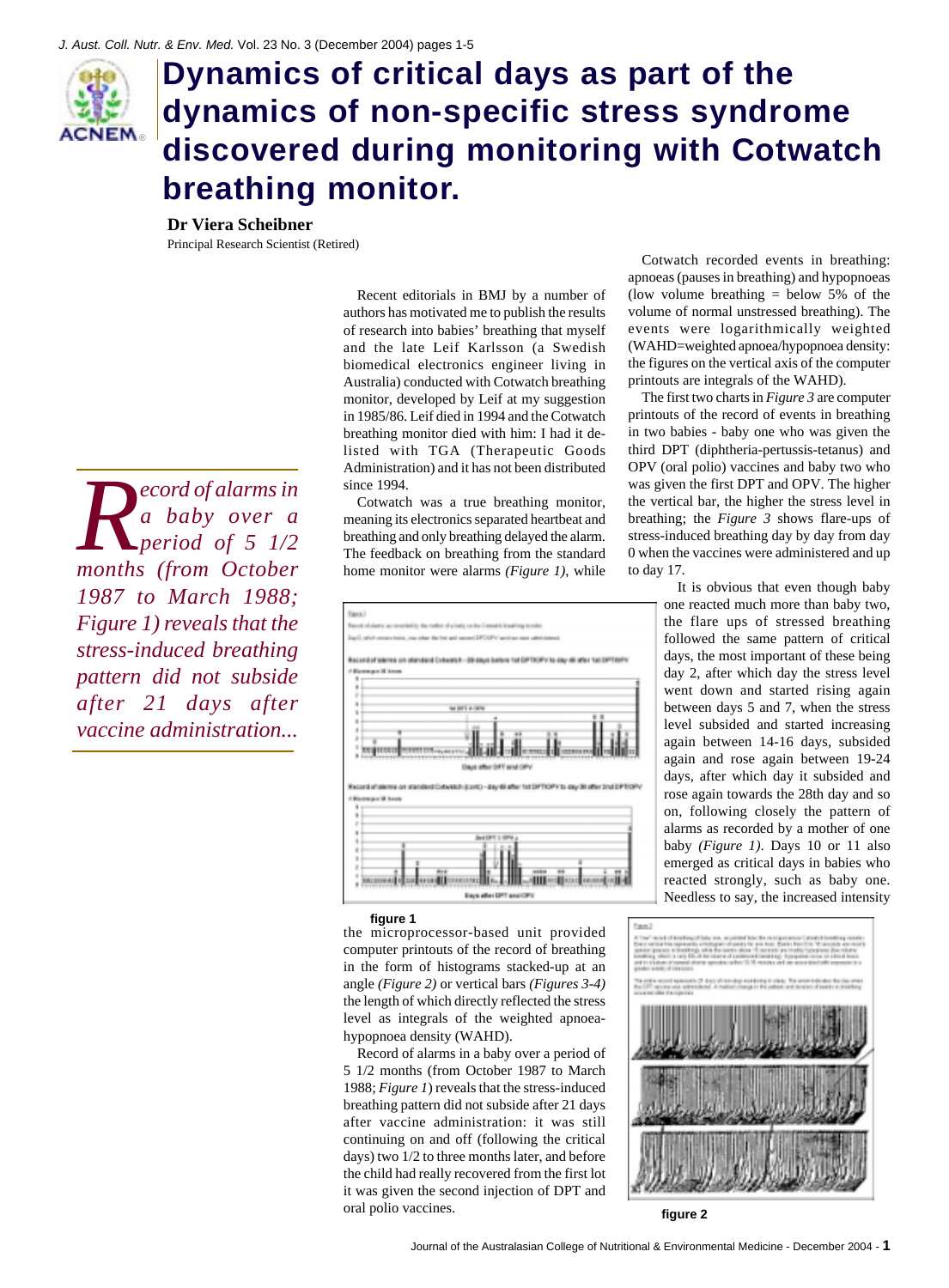

# **Dynamics of critical days as part of the dynamics of non-specific stress syndrome discovered during monitoring with Cotwatch breathing monitor.**

**Dr Viera Scheibner**

Principal Research Scientist (Retired)

**Record of alarms in**<br>*R* a baby over a<br>*period of 5 1/2*<br>months (from October *a baby over a period of 5 1/2 months (from October 1987 to March 1988; Figure 1) reveals that the stress-induced breathing pattern did not subside after 21 days after vaccine administration...*

Recent editorials in BMJ by a number of authors has motivated me to publish the results of research into babies' breathing that myself and the late Leif Karlsson (a Swedish biomedical electronics engineer living in Australia) conducted with Cotwatch breathing monitor, developed by Leif at my suggestion in 1985/86. Leif died in 1994 and the Cotwatch breathing monitor died with him: I had it delisted with TGA (Therapeutic Goods Administration) and it has not been distributed since 1994.

Cotwatch was a true breathing monitor, meaning its electronics separated heartbeat and breathing and only breathing delayed the alarm. The feedback on breathing from the standard home monitor were alarms *(Figure 1)*, while



#### **figure 1**

the microprocessor-based unit provided computer printouts of the record of breathing in the form of histograms stacked-up at an angle *(Figure 2)* or vertical bars *(Figures 3-4)* the length of which directly reflected the stress level as integrals of the weighted apnoeahypopnoea density (WAHD).

Record of alarms in a baby over a period of 5 1/2 months (from October 1987 to March 1988; *Figure 1*) reveals that the stress-induced breathing pattern did not subside after 21 days after vaccine administration: it was still continuing on and off (following the critical days) two 1/2 to three months later, and before the child had really recovered from the first lot it was given the second injection of DPT and oral polio vaccines.

Cotwatch recorded events in breathing: apnoeas (pauses in breathing) and hypopnoeas (low volume breathing  $=$  below 5% of the volume of normal unstressed breathing). The events were logarithmically weighted (WAHD=weighted apnoea/hypopnoea density: the figures on the vertical axis of the computer printouts are integrals of the WAHD).

The first two charts in *Figure 3* are computer printouts of the record of events in breathing in two babies - baby one who was given the third DPT (diphtheria-pertussis-tetanus) and OPV (oral polio) vaccines and baby two who was given the first DPT and OPV. The higher the vertical bar, the higher the stress level in breathing; the *Figure 3* shows flare-ups of stress-induced breathing day by day from day 0 when the vaccines were administered and up to day 17.

> It is obvious that even though baby one reacted much more than baby two, the flare ups of stressed breathing followed the same pattern of critical days, the most important of these being day 2, after which day the stress level went down and started rising again between days 5 and 7, when the stress level subsided and started increasing again between 14-16 days, subsided again and rose again between 19-24 days, after which day it subsided and rose again towards the 28th day and so on, following closely the pattern of alarms as recorded by a mother of one baby *(Figure 1)*. Days 10 or 11 also emerged as critical days in babies who reacted strongly, such as baby one. Needless to say, the increased intensity



**figure 2**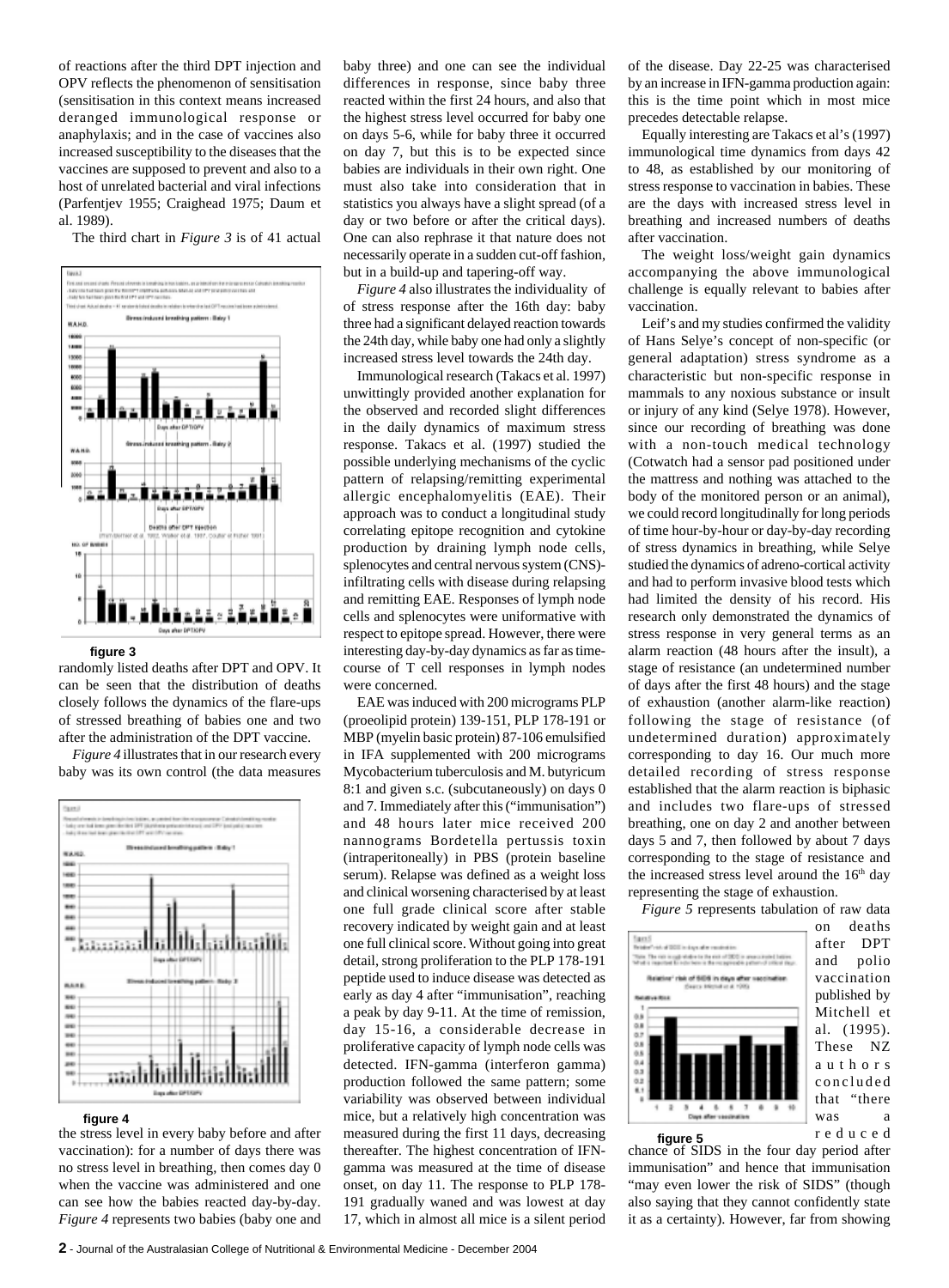of reactions after the third DPT injection and OPV reflects the phenomenon of sensitisation (sensitisation in this context means increased deranged immunological response or anaphylaxis; and in the case of vaccines also increased susceptibility to the diseases that the vaccines are supposed to prevent and also to a host of unrelated bacterial and viral infections (Parfentjev 1955; Craighead 1975; Daum et al. 1989).

The third chart in *Figure 3* is of 41 actual



#### **figure 3**

randomly listed deaths after DPT and OPV. It can be seen that the distribution of deaths closely follows the dynamics of the flare-ups of stressed breathing of babies one and two after the administration of the DPT vaccine.

*Figure 4* illustrates that in our research every baby was its own control (the data measures



### **figure 4**

the stress level in every baby before and after vaccination): for a number of days there was no stress level in breathing, then comes day 0 when the vaccine was administered and one can see how the babies reacted day-by-day. *Figure 4* represents two babies (baby one and baby three) and one can see the individual differences in response, since baby three reacted within the first 24 hours, and also that the highest stress level occurred for baby one on days 5-6, while for baby three it occurred on day 7, but this is to be expected since babies are individuals in their own right. One must also take into consideration that in statistics you always have a slight spread (of a day or two before or after the critical days). One can also rephrase it that nature does not necessarily operate in a sudden cut-off fashion, but in a build-up and tapering-off way.

*Figure 4* also illustrates the individuality of of stress response after the 16th day: baby three had a significant delayed reaction towards the 24th day, while baby one had only a slightly increased stress level towards the 24th day.

Immunological research (Takacs et al. 1997) unwittingly provided another explanation for the observed and recorded slight differences in the daily dynamics of maximum stress response. Takacs et al. (1997) studied the possible underlying mechanisms of the cyclic pattern of relapsing/remitting experimental allergic encephalomyelitis (EAE). Their approach was to conduct a longitudinal study correlating epitope recognition and cytokine production by draining lymph node cells, splenocytes and central nervous system (CNS) infiltrating cells with disease during relapsing and remitting EAE. Responses of lymph node cells and splenocytes were uniformative with respect to epitope spread. However, there were interesting day-by-day dynamics as far as timecourse of T cell responses in lymph nodes were concerned.

EAE was induced with 200 micrograms PLP (proeolipid protein) 139-151, PLP 178-191 or MBP (myelin basic protein) 87-106 emulsified in IFA supplemented with 200 micrograms Mycobacterium tuberculosis and M. butyricum 8:1 and given s.c. (subcutaneously) on days 0 and 7. Immediately after this ("immunisation") and 48 hours later mice received 200 nannograms Bordetella pertussis toxin (intraperitoneally) in PBS (protein baseline serum). Relapse was defined as a weight loss and clinical worsening characterised by at least one full grade clinical score after stable recovery indicated by weight gain and at least one full clinical score. Without going into great detail, strong proliferation to the PLP 178-191 peptide used to induce disease was detected as early as day 4 after "immunisation", reaching a peak by day 9-11. At the time of remission, day 15-16, a considerable decrease in proliferative capacity of lymph node cells was detected. IFN-gamma (interferon gamma) production followed the same pattern; some variability was observed between individual mice, but a relatively high concentration was measured during the first 11 days, decreasing thereafter. The highest concentration of IFNgamma was measured at the time of disease onset, on day 11. The response to PLP 178- 191 gradually waned and was lowest at day 17, which in almost all mice is a silent period

of the disease. Day 22-25 was characterised by an increase in IFN-gamma production again: this is the time point which in most mice precedes detectable relapse.

Equally interesting are Takacs et al's (1997) immunological time dynamics from days 42 to 48, as established by our monitoring of stress response to vaccination in babies. These are the days with increased stress level in breathing and increased numbers of deaths after vaccination.

The weight loss/weight gain dynamics accompanying the above immunological challenge is equally relevant to babies after vaccination.

Leif's and my studies confirmed the validity of Hans Selye's concept of non-specific (or general adaptation) stress syndrome as a characteristic but non-specific response in mammals to any noxious substance or insult or injury of any kind (Selye 1978). However, since our recording of breathing was done with a non-touch medical technology (Cotwatch had a sensor pad positioned under the mattress and nothing was attached to the body of the monitored person or an animal), we could record longitudinally for long periods of time hour-by-hour or day-by-day recording of stress dynamics in breathing, while Selye studied the dynamics of adreno-cortical activity and had to perform invasive blood tests which had limited the density of his record. His research only demonstrated the dynamics of stress response in very general terms as an alarm reaction (48 hours after the insult), a stage of resistance (an undetermined number of days after the first 48 hours) and the stage of exhaustion (another alarm-like reaction) following the stage of resistance (of undetermined duration) approximately corresponding to day 16. Our much more detailed recording of stress response established that the alarm reaction is biphasic and includes two flare-ups of stressed breathing, one on day 2 and another between days 5 and 7, then followed by about 7 days corresponding to the stage of resistance and the increased stress level around the 16<sup>th</sup> day representing the stage of exhaustion.

*Figure 5* represents tabulation of raw data



on deaths after DPT and polio vaccination published by Mitchell et al. (1995). These NZ authors concluded that "there was a reduced

chance of SIDS in the four day period after immunisation" and hence that immunisation "may even lower the risk of SIDS" (though also saying that they cannot confidently state it as a certainty). However, far from showing **figure 5**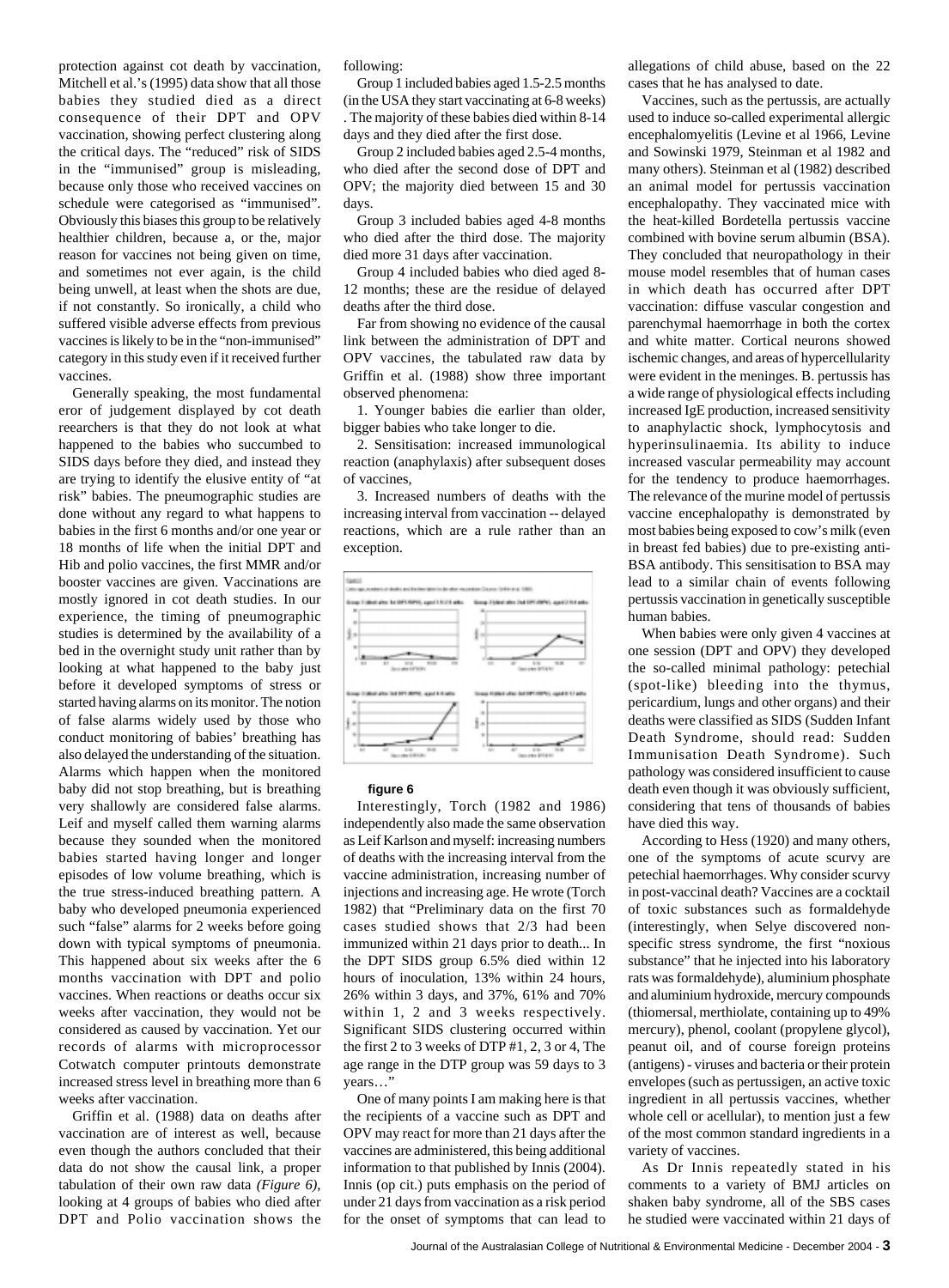protection against cot death by vaccination, Mitchell et al.'s (1995) data show that all those babies they studied died as a direct consequence of their DPT and OPV vaccination, showing perfect clustering along the critical days. The "reduced" risk of SIDS in the "immunised" group is misleading, because only those who received vaccines on schedule were categorised as "immunised". Obviously this biases this group to be relatively healthier children, because a, or the, major reason for vaccines not being given on time, and sometimes not ever again, is the child being unwell, at least when the shots are due, if not constantly. So ironically, a child who suffered visible adverse effects from previous vaccines is likely to be in the "non-immunised" category in this study even if it received further vaccines.

Generally speaking, the most fundamental eror of judgement displayed by cot death reearchers is that they do not look at what happened to the babies who succumbed to SIDS days before they died, and instead they are trying to identify the elusive entity of "at risk" babies. The pneumographic studies are done without any regard to what happens to babies in the first 6 months and/or one year or 18 months of life when the initial DPT and Hib and polio vaccines, the first MMR and/or booster vaccines are given. Vaccinations are mostly ignored in cot death studies. In our experience, the timing of pneumographic studies is determined by the availability of a bed in the overnight study unit rather than by looking at what happened to the baby just before it developed symptoms of stress or started having alarms on its monitor. The notion of false alarms widely used by those who conduct monitoring of babies' breathing has also delayed the understanding of the situation. Alarms which happen when the monitored baby did not stop breathing, but is breathing very shallowly are considered false alarms. Leif and myself called them warning alarms because they sounded when the monitored babies started having longer and longer episodes of low volume breathing, which is the true stress-induced breathing pattern. A baby who developed pneumonia experienced such "false" alarms for 2 weeks before going down with typical symptoms of pneumonia. This happened about six weeks after the 6 months vaccination with DPT and polio vaccines. When reactions or deaths occur six weeks after vaccination, they would not be considered as caused by vaccination. Yet our records of alarms with microprocessor Cotwatch computer printouts demonstrate increased stress level in breathing more than 6 weeks after vaccination.

Griffin et al. (1988) data on deaths after vaccination are of interest as well, because even though the authors concluded that their data do not show the causal link, a proper tabulation of their own raw data *(Figure 6)*, looking at 4 groups of babies who died after DPT and Polio vaccination shows the following:

Group 1 included babies aged 1.5-2.5 months (in the USA they start vaccinating at 6-8 weeks) . The majority of these babies died within 8-14 days and they died after the first dose.

Group 2 included babies aged 2.5-4 months, who died after the second dose of DPT and OPV; the majority died between 15 and 30 days.

Group 3 included babies aged 4-8 months who died after the third dose. The majority died more 31 days after vaccination.

Group 4 included babies who died aged 8- 12 months; these are the residue of delayed deaths after the third dose.

Far from showing no evidence of the causal link between the administration of DPT and OPV vaccines, the tabulated raw data by Griffin et al. (1988) show three important observed phenomena:

1. Younger babies die earlier than older, bigger babies who take longer to die.

2. Sensitisation: increased immunological reaction (anaphylaxis) after subsequent doses of vaccines,

3. Increased numbers of deaths with the increasing interval from vaccination -- delayed reactions, which are a rule rather than an exception.



## **figure 6**

Interestingly, Torch (1982 and 1986) independently also made the same observation as Leif Karlson and myself: increasing numbers of deaths with the increasing interval from the vaccine administration, increasing number of injections and increasing age. He wrote (Torch 1982) that "Preliminary data on the first 70 cases studied shows that 2/3 had been immunized within 21 days prior to death... In the DPT SIDS group 6.5% died within 12 hours of inoculation, 13% within 24 hours, 26% within 3 days, and 37%, 61% and 70% within 1, 2 and 3 weeks respectively. Significant SIDS clustering occurred within the first 2 to 3 weeks of DTP #1, 2, 3 or 4, The age range in the DTP group was 59 days to 3 years…"

One of many points I am making here is that the recipients of a vaccine such as DPT and OPV may react for more than 21 days after the vaccines are administered, this being additional information to that published by Innis (2004). Innis (op cit.) puts emphasis on the period of under 21 days from vaccination as a risk period for the onset of symptoms that can lead to allegations of child abuse, based on the 22 cases that he has analysed to date.

Vaccines, such as the pertussis, are actually used to induce so-called experimental allergic encephalomyelitis (Levine et al 1966, Levine and Sowinski 1979, Steinman et al 1982 and many others). Steinman et al (1982) described an animal model for pertussis vaccination encephalopathy. They vaccinated mice with the heat-killed Bordetella pertussis vaccine combined with bovine serum albumin (BSA). They concluded that neuropathology in their mouse model resembles that of human cases in which death has occurred after DPT vaccination: diffuse vascular congestion and parenchymal haemorrhage in both the cortex and white matter. Cortical neurons showed ischemic changes, and areas of hypercellularity were evident in the meninges. B. pertussis has a wide range of physiological effects including increased IgE production, increased sensitivity to anaphylactic shock, lymphocytosis and hyperinsulinaemia. Its ability to induce increased vascular permeability may account for the tendency to produce haemorrhages. The relevance of the murine model of pertussis vaccine encephalopathy is demonstrated by most babies being exposed to cow's milk (even in breast fed babies) due to pre-existing anti-BSA antibody. This sensitisation to BSA may lead to a similar chain of events following pertussis vaccination in genetically susceptible human babies.

When babies were only given 4 vaccines at one session (DPT and OPV) they developed the so-called minimal pathology: petechial (spot-like) bleeding into the thymus, pericardium, lungs and other organs) and their deaths were classified as SIDS (Sudden Infant Death Syndrome, should read: Sudden Immunisation Death Syndrome). Such pathology was considered insufficient to cause death even though it was obviously sufficient, considering that tens of thousands of babies have died this way.

According to Hess (1920) and many others, one of the symptoms of acute scurvy are petechial haemorrhages. Why consider scurvy in post-vaccinal death? Vaccines are a cocktail of toxic substances such as formaldehyde (interestingly, when Selye discovered nonspecific stress syndrome, the first "noxious substance" that he injected into his laboratory rats was formaldehyde), aluminium phosphate and aluminium hydroxide, mercury compounds (thiomersal, merthiolate, containing up to 49% mercury), phenol, coolant (propylene glycol), peanut oil, and of course foreign proteins (antigens) - viruses and bacteria or their protein envelopes (such as pertussigen, an active toxic ingredient in all pertussis vaccines, whether whole cell or acellular), to mention just a few of the most common standard ingredients in a variety of vaccines.

As Dr Innis repeatedly stated in his comments to a variety of BMJ articles on shaken baby syndrome, all of the SBS cases he studied were vaccinated within 21 days of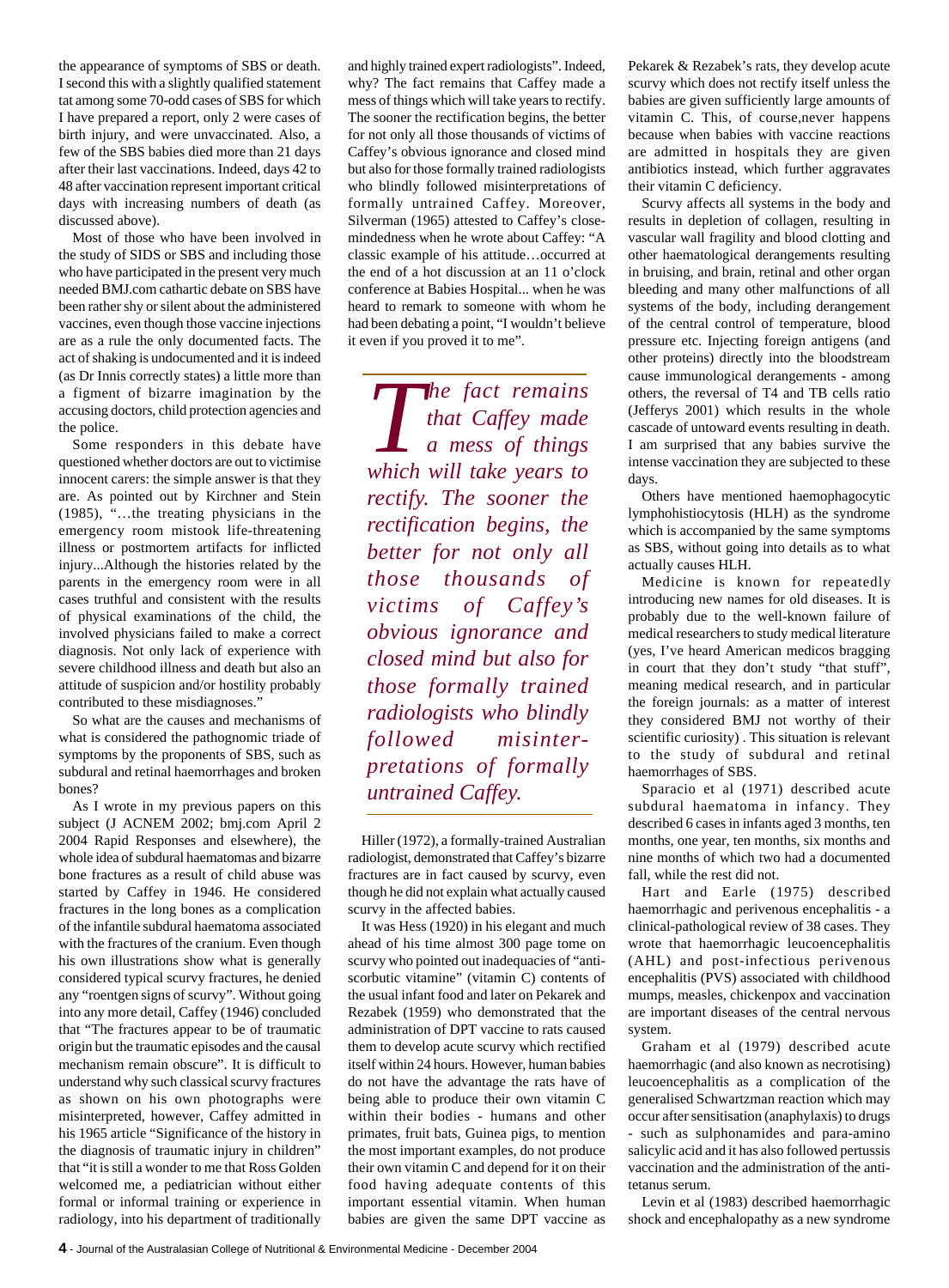the appearance of symptoms of SBS or death. I second this with a slightly qualified statement tat among some 70-odd cases of SBS for which I have prepared a report, only 2 were cases of birth injury, and were unvaccinated. Also, a few of the SBS babies died more than 21 days after their last vaccinations. Indeed, days 42 to 48 after vaccination represent important critical days with increasing numbers of death (as discussed above).

Most of those who have been involved in the study of SIDS or SBS and including those who have participated in the present very much needed BMJ.com cathartic debate on SBS have been rather shy or silent about the administered vaccines, even though those vaccine injections are as a rule the only documented facts. The act of shaking is undocumented and it is indeed (as Dr Innis correctly states) a little more than a figment of bizarre imagination by the accusing doctors, child protection agencies and the police.

Some responders in this debate have questioned whether doctors are out to victimise innocent carers: the simple answer is that they are. As pointed out by Kirchner and Stein (1985), "…the treating physicians in the emergency room mistook life-threatening illness or postmortem artifacts for inflicted injury...Although the histories related by the parents in the emergency room were in all cases truthful and consistent with the results of physical examinations of the child, the involved physicians failed to make a correct diagnosis. Not only lack of experience with severe childhood illness and death but also an attitude of suspicion and/or hostility probably contributed to these misdiagnoses."

So what are the causes and mechanisms of what is considered the pathognomic triade of symptoms by the proponents of SBS, such as subdural and retinal haemorrhages and broken bones?

As I wrote in my previous papers on this subject (J ACNEM 2002; bmj.com April 2 2004 Rapid Responses and elsewhere), the whole idea of subdural haematomas and bizarre bone fractures as a result of child abuse was started by Caffey in 1946. He considered fractures in the long bones as a complication of the infantile subdural haematoma associated with the fractures of the cranium. Even though his own illustrations show what is generally considered typical scurvy fractures, he denied any "roentgen signs of scurvy". Without going into any more detail, Caffey (1946) concluded that "The fractures appear to be of traumatic origin but the traumatic episodes and the causal mechanism remain obscure". It is difficult to understand why such classical scurvy fractures as shown on his own photographs were misinterpreted, however, Caffey admitted in his 1965 article "Significance of the history in the diagnosis of traumatic injury in children" that "it is still a wonder to me that Ross Golden welcomed me, a pediatrician without either formal or informal training or experience in radiology, into his department of traditionally

and highly trained expert radiologists". Indeed, why? The fact remains that Caffey made a mess of things which will take years to rectify. The sooner the rectification begins, the better for not only all those thousands of victims of Caffey's obvious ignorance and closed mind but also for those formally trained radiologists who blindly followed misinterpretations of formally untrained Caffey. Moreover, Silverman (1965) attested to Caffey's closemindedness when he wrote about Caffey: "A classic example of his attitude…occurred at the end of a hot discussion at an 11 o'clock conference at Babies Hospital... when he was heard to remark to someone with whom he had been debating a point, "I wouldn't believe it even if you proved it to me".

**The fact remains**<br>that Caffey made<br>a mess of things<br>which will take years to *that Caffey made a mess of things which will take years to rectify. The sooner the rectification begins, the better for not only all those thousands of victims of Caffey's obvious ignorance and closed mind but also for those formally trained radiologists who blindly followed misinterpretations of formally untrained Caffey.*

Hiller (1972), a formally-trained Australian radiologist, demonstrated that Caffey's bizarre fractures are in fact caused by scurvy, even though he did not explain what actually caused scurvy in the affected babies.

It was Hess (1920) in his elegant and much ahead of his time almost 300 page tome on scurvy who pointed out inadequacies of "antiscorbutic vitamine" (vitamin C) contents of the usual infant food and later on Pekarek and Rezabek (1959) who demonstrated that the administration of DPT vaccine to rats caused them to develop acute scurvy which rectified itself within 24 hours. However, human babies do not have the advantage the rats have of being able to produce their own vitamin C within their bodies - humans and other primates, fruit bats, Guinea pigs, to mention the most important examples, do not produce their own vitamin C and depend for it on their food having adequate contents of this important essential vitamin. When human babies are given the same DPT vaccine as Pekarek & Rezabek's rats, they develop acute scurvy which does not rectify itself unless the babies are given sufficiently large amounts of vitamin C. This, of course,never happens because when babies with vaccine reactions are admitted in hospitals they are given antibiotics instead, which further aggravates their vitamin C deficiency.

Scurvy affects all systems in the body and results in depletion of collagen, resulting in vascular wall fragility and blood clotting and other haematological derangements resulting in bruising, and brain, retinal and other organ bleeding and many other malfunctions of all systems of the body, including derangement of the central control of temperature, blood pressure etc. Injecting foreign antigens (and other proteins) directly into the bloodstream cause immunological derangements - among others, the reversal of T4 and TB cells ratio (Jefferys 2001) which results in the whole cascade of untoward events resulting in death. I am surprised that any babies survive the intense vaccination they are subjected to these days.

Others have mentioned haemophagocytic lymphohistiocytosis (HLH) as the syndrome which is accompanied by the same symptoms as SBS, without going into details as to what actually causes HLH.

Medicine is known for repeatedly introducing new names for old diseases. It is probably due to the well-known failure of medical researchers to study medical literature (yes, I've heard American medicos bragging in court that they don't study "that stuff", meaning medical research, and in particular the foreign journals: as a matter of interest they considered BMJ not worthy of their scientific curiosity) . This situation is relevant to the study of subdural and retinal haemorrhages of SBS.

Sparacio et al (1971) described acute subdural haematoma in infancy. They described 6 cases in infants aged 3 months, ten months, one year, ten months, six months and nine months of which two had a documented fall, while the rest did not.

Hart and Earle (1975) described haemorrhagic and perivenous encephalitis - a clinical-pathological review of 38 cases. They wrote that haemorrhagic leucoencephalitis (AHL) and post-infectious perivenous encephalitis (PVS) associated with childhood mumps, measles, chickenpox and vaccination are important diseases of the central nervous system.

Graham et al (1979) described acute haemorrhagic (and also known as necrotising) leucoencephalitis as a complication of the generalised Schwartzman reaction which may occur after sensitisation (anaphylaxis) to drugs - such as sulphonamides and para-amino salicylic acid and it has also followed pertussis vaccination and the administration of the antitetanus serum.

Levin et al (1983) described haemorrhagic shock and encephalopathy as a new syndrome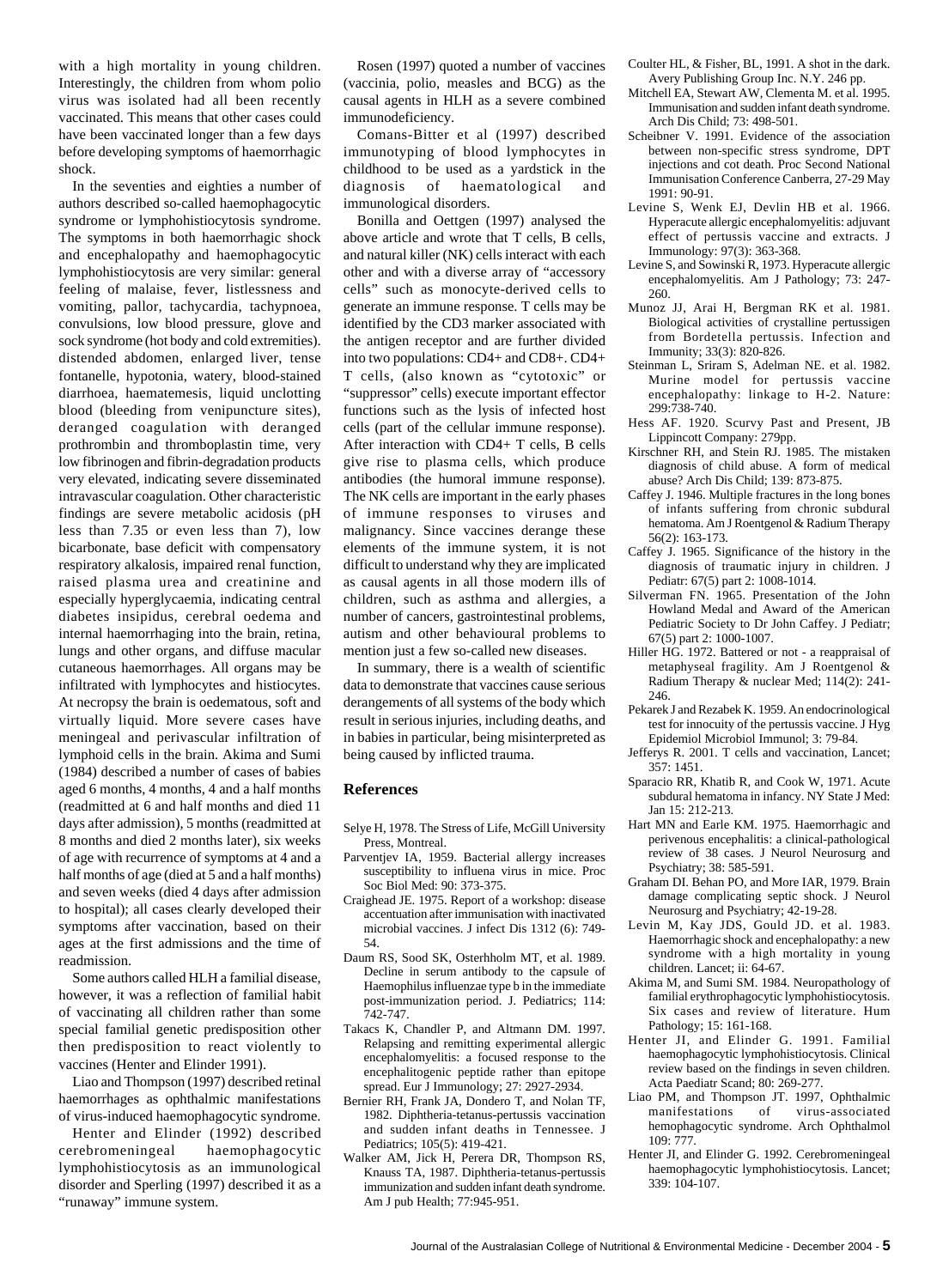with a high mortality in young children. Interestingly, the children from whom polio virus was isolated had all been recently vaccinated. This means that other cases could have been vaccinated longer than a few days before developing symptoms of haemorrhagic shock.

In the seventies and eighties a number of authors described so-called haemophagocytic syndrome or lymphohistiocytosis syndrome. The symptoms in both haemorrhagic shock and encephalopathy and haemophagocytic lymphohistiocytosis are very similar: general feeling of malaise, fever, listlessness and vomiting, pallor, tachycardia, tachypnoea, convulsions, low blood pressure, glove and sock syndrome (hot body and cold extremities). distended abdomen, enlarged liver, tense fontanelle, hypotonia, watery, blood-stained diarrhoea, haematemesis, liquid unclotting blood (bleeding from venipuncture sites), deranged coagulation with deranged prothrombin and thromboplastin time, very low fibrinogen and fibrin-degradation products very elevated, indicating severe disseminated intravascular coagulation. Other characteristic findings are severe metabolic acidosis (pH less than 7.35 or even less than 7), low bicarbonate, base deficit with compensatory respiratory alkalosis, impaired renal function, raised plasma urea and creatinine and especially hyperglycaemia, indicating central diabetes insipidus, cerebral oedema and internal haemorrhaging into the brain, retina, lungs and other organs, and diffuse macular cutaneous haemorrhages. All organs may be infiltrated with lymphocytes and histiocytes. At necropsy the brain is oedematous, soft and virtually liquid. More severe cases have meningeal and perivascular infiltration of lymphoid cells in the brain. Akima and Sumi (1984) described a number of cases of babies aged 6 months, 4 months, 4 and a half months (readmitted at 6 and half months and died 11 days after admission), 5 months (readmitted at 8 months and died 2 months later), six weeks of age with recurrence of symptoms at 4 and a half months of age (died at 5 and a half months) and seven weeks (died 4 days after admission to hospital); all cases clearly developed their symptoms after vaccination, based on their ages at the first admissions and the time of readmission.

Some authors called HLH a familial disease, however, it was a reflection of familial habit of vaccinating all children rather than some special familial genetic predisposition other then predisposition to react violently to vaccines (Henter and Elinder 1991).

Liao and Thompson (1997) described retinal haemorrhages as ophthalmic manifestations of virus-induced haemophagocytic syndrome.

Henter and Elinder (1992) described cerebromeningeal haemophagocytic lymphohistiocytosis as an immunological disorder and Sperling (1997) described it as a "runaway" immune system.

Rosen (1997) quoted a number of vaccines (vaccinia, polio, measles and BCG) as the causal agents in HLH as a severe combined immunodeficiency.

Comans-Bitter et al (1997) described immunotyping of blood lymphocytes in childhood to be used as a yardstick in the diagnosis of haematological and immunological disorders.

Bonilla and Oettgen (1997) analysed the above article and wrote that T cells, B cells, and natural killer (NK) cells interact with each other and with a diverse array of "accessory cells" such as monocyte-derived cells to generate an immune response. T cells may be identified by the CD3 marker associated with the antigen receptor and are further divided into two populations: CD4+ and CD8+. CD4+ T cells, (also known as "cytotoxic" or "suppressor" cells) execute important effector functions such as the lysis of infected host cells (part of the cellular immune response). After interaction with CD4+ T cells, B cells give rise to plasma cells, which produce antibodies (the humoral immune response). The NK cells are important in the early phases of immune responses to viruses and malignancy. Since vaccines derange these elements of the immune system, it is not difficult to understand why they are implicated as causal agents in all those modern ills of children, such as asthma and allergies, a number of cancers, gastrointestinal problems, autism and other behavioural problems to mention just a few so-called new diseases.

In summary, there is a wealth of scientific data to demonstrate that vaccines cause serious derangements of all systems of the body which result in serious injuries, including deaths, and in babies in particular, being misinterpreted as being caused by inflicted trauma.

# **References**

- Selye H, 1978. The Stress of Life, McGill University Press, Montreal.
- Parventjev IA, 1959. Bacterial allergy increases susceptibility to influena virus in mice. Proc Soc Biol Med: 90: 373-375.
- Craighead JE. 1975. Report of a workshop: disease accentuation after immunisation with inactivated microbial vaccines. J infect Dis 1312 (6): 749- 54.
- Daum RS, Sood SK, Osterhholm MT, et al. 1989. Decline in serum antibody to the capsule of Haemophilus influenzae type b in the immediate post-immunization period. J. Pediatrics; 114: 742-747.
- Takacs K, Chandler P, and Altmann DM. 1997. Relapsing and remitting experimental allergic encephalomyelitis: a focused response to the encephalitogenic peptide rather than epitope spread. Eur J Immunology; 27: 2927-2934.
- Bernier RH, Frank JA, Dondero T, and Nolan TF, 1982. Diphtheria-tetanus-pertussis vaccination and sudden infant deaths in Tennessee. J Pediatrics; 105(5): 419-421.
- Walker AM, Jick H, Perera DR, Thompson RS, Knauss TA, 1987. Diphtheria-tetanus-pertussis immunization and sudden infant death syndrome. Am J pub Health; 77:945-951.
- Coulter HL, & Fisher, BL, 1991. A shot in the dark. Avery Publishing Group Inc. N.Y. 246 pp.
- Mitchell EA, Stewart AW, Clementa M. et al. 1995. Immunisation and sudden infant death syndrome. Arch Dis Child; 73: 498-501.
- Scheibner V. 1991. Evidence of the association between non-specific stress syndrome, DPT injections and cot death. Proc Second National Immunisation Conference Canberra, 27-29 May 1991: 90-91.
- Levine S, Wenk EJ, Devlin HB et al. 1966. Hyperacute allergic encephalomyelitis: adjuvant effect of pertussis vaccine and extracts. J Immunology: 97(3): 363-368.
- Levine S, and Sowinski R, 1973. Hyperacute allergic encephalomyelitis. Am J Pathology; 73: 247- 260.
- Munoz JJ, Arai H, Bergman RK et al. 1981. Biological activities of crystalline pertussigen from Bordetella pertussis. Infection and Immunity; 33(3): 820-826.
- Steinman L, Sriram S, Adelman NE. et al. 1982. Murine model for pertussis vaccine encephalopathy: linkage to H-2. Nature: 299:738-740.
- Hess AF. 1920. Scurvy Past and Present, JB Lippincott Company: 279pp.
- Kirschner RH, and Stein RJ. 1985. The mistaken diagnosis of child abuse. A form of medical abuse? Arch Dis Child; 139: 873-875.
- Caffey J. 1946. Multiple fractures in the long bones of infants suffering from chronic subdural hematoma. Am J Roentgenol & Radium Therapy 56(2): 163-173.
- Caffey J. 1965. Significance of the history in the diagnosis of traumatic injury in children. J Pediatr: 67(5) part 2: 1008-1014.
- Silverman FN. 1965. Presentation of the John Howland Medal and Award of the American Pediatric Society to Dr John Caffey. J Pediatr; 67(5) part 2: 1000-1007.
- Hiller HG. 1972. Battered or not a reappraisal of metaphyseal fragility. Am J Roentgenol & Radium Therapy & nuclear Med; 114(2): 241- 246.
- Pekarek J and Rezabek K. 1959. An endocrinological test for innocuity of the pertussis vaccine. J Hyg Epidemiol Microbiol Immunol; 3: 79-84.
- Jefferys R. 2001. T cells and vaccination, Lancet; 357: 1451.
- Sparacio RR, Khatib R, and Cook W, 1971. Acute subdural hematoma in infancy. NY State J Med: Jan 15: 212-213.
- Hart MN and Earle KM. 1975. Haemorrhagic and perivenous encephalitis: a clinical-pathological review of 38 cases. J Neurol Neurosurg and Psychiatry; 38: 585-591.
- Graham DI. Behan PO, and More IAR, 1979. Brain damage complicating septic shock. J Neurol Neurosurg and Psychiatry; 42-19-28.
- Levin M, Kay JDS, Gould JD. et al. 1983. Haemorrhagic shock and encephalopathy: a new syndrome with a high mortality in young children. Lancet; ii: 64-67.
- Akima M, and Sumi SM. 1984. Neuropathology of familial erythrophagocytic lymphohistiocytosis. Six cases and review of literature. Hum Pathology; 15: 161-168.
- Henter JI, and Elinder G. 1991. Familial haemophagocytic lymphohistiocytosis. Clinical review based on the findings in seven children. Acta Paediatr Scand; 80: 269-277.
- Liao PM, and Thompson JT. 1997, Ophthalmic manifestations of virus-associated hemophagocytic syndrome. Arch Ophthalmol 109: 777.
- Henter JI, and Elinder G. 1992. Cerebromeningeal haemophagocytic lymphohistiocytosis. Lancet; 339: 104-107.